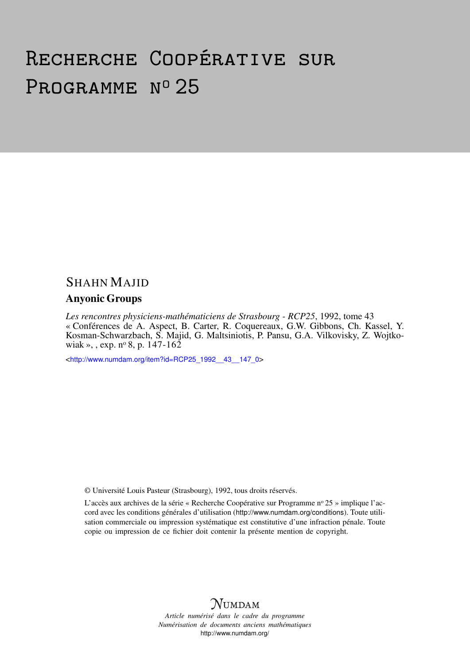# Recherche Coopérative sur PROGRAMME Nº 25

# SHAHN MAJID

# Anyonic Groups

*Les rencontres physiciens-mathématiciens de Strasbourg - RCP25*, 1992, tome 43 « Conférences de A. Aspect, B. Carter, R. Coquereaux, G.W. Gibbons, Ch. Kassel, Y. Kosman-Schwarzbach, S. Majid, G. Maltsiniotis, P. Pansu, G.A. Vilkovisky, Z. Wojtkowiak », , exp.  $n^{\circ}$  8, p. 147-162

<[http://www.numdam.org/item?id=RCP25\\_1992\\_\\_43\\_\\_147\\_0](http://www.numdam.org/item?id=RCP25_1992__43__147_0)>

© Université Louis Pasteur (Strasbourg), 1992, tous droits réservés.

L'accès aux archives de la série « Recherche Coopérative sur Programme n° 25 » implique l'accord avec les conditions générales d'utilisation (<http://www.numdam.org/conditions>). Toute utilisation commerciale ou impression systématique est constitutive d'une infraction pénale. Toute copie ou impression de ce fichier doit contenir la présente mention de copyright.



*Article numérisé dans le cadre du programme Numérisation de documents anciens mathématiques* <http://www.numdam.org/>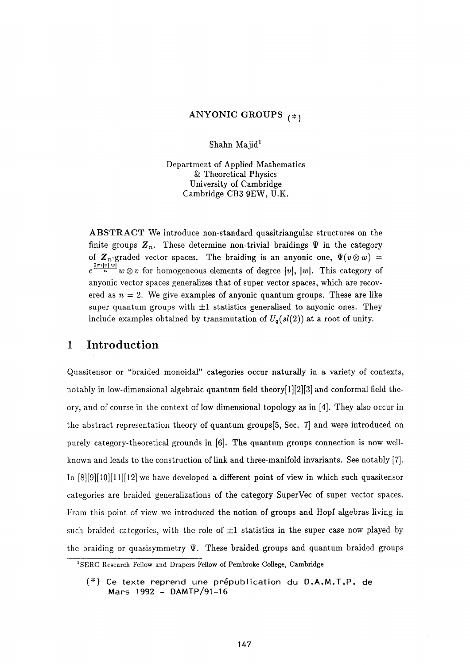#### ANYONIC GROUPS  $_{(*)}$

Shahn Majid<sup>1</sup>

Department of Applied Mathematics & Theoretical Physics University of Cambridge Cambridge CB3 9EW, U.K.

ABSTRACT We introduce non-standard quasitriangular structures on the finite groups  $Z_n$ . These determine non-trivial braidings  $\Psi$  in the category of  $\mathbb{Z}_n$ -graded vector spaces. The braiding is an anyonic one,  $\Psi(v \otimes w) =$  $2π$ **:**  $|v|$  $e^{i\omega}$  *w* $\omega$  *w* for nomogeneous elements of degree  $|v|$ ,  $|w|$ . This category of anyonic vector spaces generalizes that of super vector spaces, which are recovered as  $n = 2$ . We give examples of anyonic quantum groups. These are like super quantum groups with  $\pm 1$  statistics generalised to anyonic ones. They include examples obtained by transmutation of  $U_q(sl(2))$  at a root of unity.

# **1 Introduction**

Quasitensor or "braided monoidal" categories occur naturally in a variety of contexts, notably in low-dimensional algebraic quantum field theory[l][2][3] and conformai field theory, and of course in the context of low dimensional topology as in [4]. They also occur in the abstract representation theory of quantum groups[5, Sec. 7] and were introduced on purely category-theoretical grounds in [6]. The quantum groups connection is now wellknown and leads to the construction of link and three-manifold invariants. See notably [7]. In [8][9][10][11][12] we have developed a different point of view in which such quasitensor categories are braided generalizations of the category SuperVec of super vector spaces. From this point of view we introduced the notion of groups and Hopf algebras living in such braided categories, with the role of  $\pm 1$  statistics in the super case now played by the braiding or quasisymmetry  $\Psi$ . These braided groups and quantum braided groups

**<sup>1</sup> SERC Research Fellow and Drapers Fellow of Pembroke College, Cambridge** 

 $(*)$  Ce texte reprend une prépublication du D.A.M.T.P. de Mars 1992 - DAMTP/91-16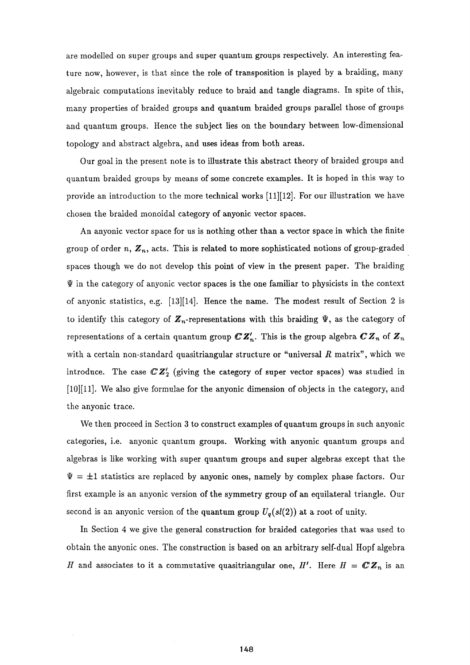are modelled on super groups and super quantum groups respectively. An interesting feature now, however, is that since the role of transposition is played by a braiding, many algebraic computations inevitably reduce to braid and tangle diagrams. In spite of this, many properties of braided groups and quantum braided groups parallel those of groups and quantum groups. Hence the subject lies on the boundary between low-dimensional topology and abstract algebra, and uses ideas from both areas.

Our goal in the present note is to illustrate this abstract theory of braided groups and quantum braided groups by means of some concrete examples. It is hoped in this way to provide an introduction to the more technical works [11][12]. For our illustration we have chosen the braided monoidal category of anyonic vector spaces.

An anyonic vector space for us is nothing other than a vector space in which the finite group of order n,  $\boldsymbol{Z}_n$ , acts. This is related to more sophisticated notions of group-graded spaces though we do not develop this point of view in the present paper. The braiding  $\Psi$  in the category of anyonic vector spaces is the one familiar to physicists in the context of anyonic statistics, e.g.  $[13][14]$ . Hence the name. The modest result of Section 2 is to identify this category of  $\mathbb{Z}_n$ -representations with this braiding  $\Psi$ , as the category of representations of a certain quantum group  $\mathbb{C} \mathbb{Z}_n'$ . This is the group algebra  $\mathbb{C} \mathbb{Z}_n$  of  $\mathbb{Z}_n$ with a certain non-standard quasitriangular structure or "universal R matrix", which we introduce. The case *GZ^* (giving the category of super vector spaces) was studied in [10][11]. We also give formulae for the anyonic dimension of objects in the category, and the anyonic trace.

We then proceed in Section 3 to construct examples of quantum groups in such anyonic categories, i.e. anyonic quantum groups. Working with anyonic quantum groups and algebras is like working with super quantum groups and super algebras except that the  $\Psi = \pm 1$  statistics are replaced by anyonic ones, namely by complex phase factors. Our first example is an anyonic version of the symmetry group of an equilateral triangle. Our second is an anyonic version of the quantum group  $U_q(sl(2))$  at a root of unity.

In Section 4 we give the general construction for braided categories that was used to obtain the anyonic ones. The construction is based on an arbitrary self-dual Hopf algebra and associates to it a commutative quasitriangular one,  $H'$ . Here  $H = \mathbb{C} \mathbb{Z}_n$  is an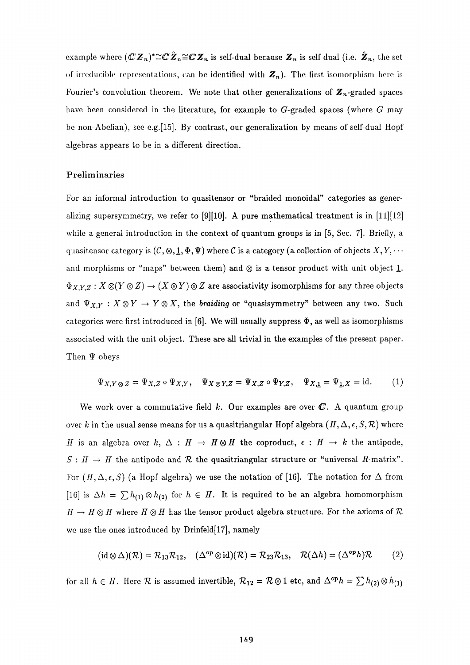example where  $(\mathbb{C} \, \pmb{Z}_n)^* \! \cong \! \pmb{\mathbb{C}} \, \pmb{Z}_n \! \cong \! \pmb{\mathbb{C}} \, \pmb{Z}_n$  is self-dual because  $\pmb{Z}_n$  is self dual (i.e.  $\pmb{Z}_n$ , the set of irreducible representations, ran be identified with *Zn).* The first isomorphism here is Fourier's convolution theorem. We note that other generalizations of  $\mathbb{Z}_n$ -graded spaces have been considered in the literature, for example to G-graded spaces (where *G* may be non-Abelian), see e.g.[15]. By contrast, our generalization by means of self-dual Hopf algebras appears to be in a different direction.

#### Preliminaries

For an informal introduction to quasitensor or "braided monoidal" categories as generalizing supersymmetry, we refer to [9][10]. A pure mathematical treatment is in [11][12] while a general introduction in the context of quantum groups is in [5, Sec. 7]. Briefly, a quasitensor category is  $(C, \otimes, \underline{1}, \Phi, \Psi)$  where C is a category (a collection of objects  $X, Y, \cdots$ and morphisms or "maps" between them) and  $\otimes$  is a tensor product with unit object 1.  $\Phi_{X,Y,Z}: X \otimes (Y \otimes Z) \to (X \otimes Y) \otimes Z$  are associativity isomorphisms for any three objects and  $\Psi_{X,Y}: X \otimes Y \to Y \otimes X$ , the *braiding* or "quasisymmetry" between any two. Such categories were first introduced in [6]. We will usually suppress  $\Phi$ , as well as isomorphisms associated with the unit object. These are all trivial in the examples of the present paper. Then  $\Psi$  obeys

$$
\Psi_{X,Y\otimes Z} = \Psi_{X,Z} \circ \Psi_{X,Y}, \quad \Psi_{X\otimes Y,Z} = \Psi_{X,Z} \circ \Psi_{Y,Z}, \quad \Psi_{X,\underline{1}} = \Psi_{\underline{1},X} = \mathrm{id}.\tag{1}
$$

We work over a commutative field  $k$ . Our examples are over  $\mathbb{C}$ . A quantum group over *k* in the usual sense means for us a quasitriangular Hopf algebra  $(H, \Delta, \epsilon, S, \mathcal{R})$  where *II* is an algebra over  $k$ ,  $\Delta$  :  $H \rightarrow H \otimes H$  the coproduct,  $\epsilon$  :  $H \rightarrow k$  the antipode,  $S : H \to H$  the antipode and  $R$  the quasitriangular structure or "universal  $R$ -matrix". For  $(H, \Delta, \epsilon, S)$  (a Hopf algebra) we use the notation of [16]. The notation for  $\Delta$  from [16] is  $\Delta h = \sum h_{(1)} \otimes h_{(2)}$  for  $h \in H$ . It is required to be an algebra homomorphism  $H \to H \otimes H$  where  $H \otimes H$  has the tensor product algebra structure. For the axioms of  $R$ we use the ones introduced by Drinfeld[17], namely

$$
(\mathrm{id} \otimes \Delta)(\mathcal{R}) = \mathcal{R}_{13} \mathcal{R}_{12}, \quad (\Delta^{\mathrm{op}} \otimes \mathrm{id})(\mathcal{R}) = \mathcal{R}_{23} \mathcal{R}_{13}, \quad \mathcal{R}(\Delta h) = (\Delta^{\mathrm{op}} h)\mathcal{R} \tag{2}
$$

for all  $h \in H$ . Here  $\mathcal{R}$  is assumed invertible,  $\mathcal{R}_{12} = \mathcal{R} \otimes 1$  etc, and  $\Delta^{\text{op}} h = \sum h_{(2)} \otimes h_{(1)}$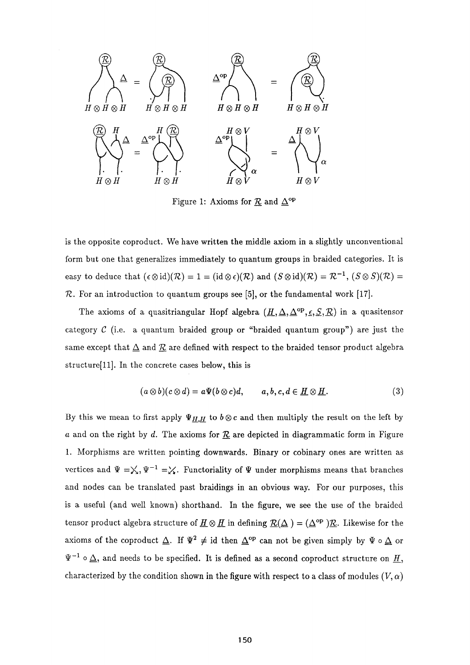

Figure 1: Axioms for  $\underline{\mathcal{R}}$  and  $\underline{\Delta}^{\mathrm{op}}$ 

is the opposite coproduct. We have written the middle axiom in a slightly unconventional form but one that generalizes immediately to quantum groups in braided categories. It is easy to deduce that  $(\epsilon \otimes id)(\mathcal{R}) = 1 = (id \otimes \epsilon)(\mathcal{R})$  and  $(S \otimes id)(\mathcal{R}) = \mathcal{R}^{-1}$ ,  $(S \otimes S)(\mathcal{R}) = 1$ *TZ.* For an introduction to quantum groups see [5], or the fundamental work [17].

The axioms of a quasitriangular Hopf algebra  $(\underline{H}, \underline{\Delta}, \underline{\Delta}^{\text{op}}, \underline{\epsilon}, \underline{S}, \underline{\mathcal{R}})$  in a quasitensor category *C* (i.e. a quantum braided group or "braided quantum group") are just the same except that  $\Delta$  and  $\mathcal{R}$  are defined with respect to the braided tensor product algebra structurefll]. In the concrete cases below, this is

$$
(a\otimes b)(c\otimes d)=a\Psi(b\otimes c)d,\qquad a,b,c,d\in \underline{H}\otimes \underline{H}.\tag{3}
$$

By this we mean to first apply  $\Psi_{H,H}$  to  $b \otimes c$  and then multiply the result on the left by *a* and on the right by *d.* The axioms for *TZ* are depicted in diagrammatic form in Figure 1. Morphisms are written pointing downwards. Binary or cobinary ones are written as vertices and  $\Psi = \chi, \Psi^{-1} = \chi$ . Functoriality of  $\Psi$  under morphisms means that branches and nodes can be translated past braidings in an obvious way. For our purposes, this is a useful (and well known) shorthand. In the figure, we see the use of the braided tensor product algebra structure of  $\underline{H} \otimes \underline{H}$  in defining  $\underline{\mathcal{R}}(\Delta) = (\Delta^{\rm op})\underline{\mathcal{R}}$ . Likewise for the axioms of the coproduct  $\Delta$ . If  $\Psi^2 \neq id$  then  $\Delta^{\rm op}$  can not be given simply by  $\Psi \circ \Delta$  or  $^{-1}$   $\circ$   $\Delta$ , and needs to be specified. It is defined as a second coproduct structure on  $H$ , characterized by the condition shown in the figure with respect to a class of modules  $(V, \alpha)$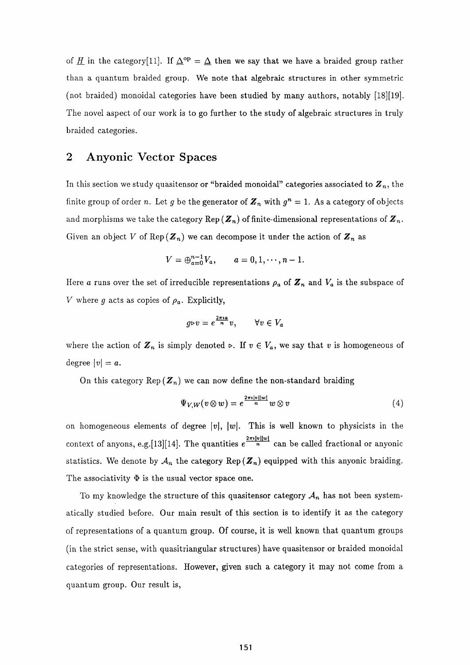of <u>H</u> in the category[11]. If  $\Delta^{op} = \Delta$  then we say that we have a braided group rather than a quantum braided group. We note that algebraic structures in other symmetric (not braided) monoidal categories have been studied by many authors, notably [18][19]. The novel aspect of our work is to go further to the study of algebraic structures in truly braided categories.

## **2 Anyonic Vector Spaces**

In this section we study quasitensor or "braided monoidal" categories associated to *Z<sup>n</sup> ,* the finite group of order *n*. Let  $g$  be the generator of  $\mathbb{Z}_n$  with  $g^n = 1$ . As a category of objects and morphisms we take the category  ${\tt Rep}\,(\boldsymbol{Z}_n)$  of finite-dimensional representations of  $\boldsymbol{Z}_n.$ Given an object V of  $\text{Rep}(\mathbf{Z}_n)$  we can decompose it under the action of  $\mathbf{Z}_n$  as

$$
V = \bigoplus_{a=0}^{n-1} V_a, \qquad a = 0, 1, \cdots, n-1.
$$

Here  $a$  runs over the set of irreducible representations  $\rho_a$  of  $\bm{Z}_n$  and  $V_a$  is the subspace of *V* where *g* acts as copies of  $\rho_a$ . Explicitly,

$$
g \triangleright v = e^{\frac{2\pi i a}{n}} v, \qquad \forall v \in V_a
$$

where the action of  $\mathbb{Z}_n$  is simply denoted  $\triangleright$ . If  $v \in V_a$ , we say that v is homogeneous of degree  $|v| = a$ .

On this category  $\text{Rep}(\mathbf{Z}_n)$  we can now define the non-standard braiding

$$
\Psi_{V,W}(v\otimes w)=e^{\frac{2\pi i|v||w|}{n}}w\otimes v\tag{4}
$$

on homogeneous elements of degree  $|v|$ ,  $|w|$ . This is well known to physicists in the context of anyons, e.g.[13][14]. The quantities  $e^{\frac{2\pi i|v||w|}{n}}$  can be called fractional or anyonic statistics. We denote by  $\mathcal{A}_n$  the category Rep( $\mathbf{Z}_n$ ) equipped with this anyonic braiding. The associativity  $\Phi$  is the usual vector space one.

To my knowledge the structure of this quasitensor category *A<sup>n</sup>* has not been systematically studied before. Our main result of this section is to identify it as the category of representations of a quantum group. Of course, it is well known that quantum groups (in the strict sense, with quasitriangular structures) have quasitensor or braided monoidal categories of representations. However, given such a category it may not come from a quantum group. Our result is,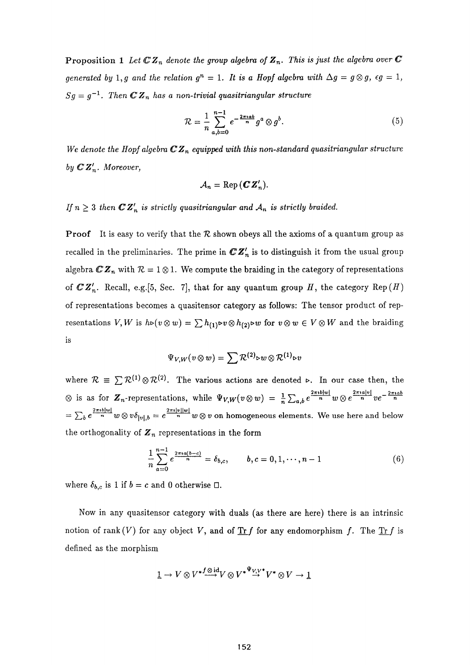Proposition 1 Let  $\mathbb{C}Z_n$  denote the group algebra of  $Z_n$ . This is just the algebra over  $\mathbb{C}$ *generated by* 1,*g* and the relation  $g^n = 1$ . It is a Hopf algebra with  $\Delta g = g \otimes g$ ,  $\epsilon g = 1$ ,  $Sg = g^{-1}$ . Then  $\mathbb{CZ}_n$  has a non-trivial quasitriangular structure

$$
\mathcal{R} = \frac{1}{n} \sum_{a,b=0}^{n-1} e^{-\frac{2\pi i a b}{n}} g^a \otimes g^b.
$$
 (5)

 *a,b=0*  We denote the Hopf algebra  $\mathbb{C}Z_n$  equipped with this non-standard quasitriangular structure *by CZ'<sup>n</sup> . Moreover,* 

$$
A_n = \text{Rep}(\mathbf{C}\mathbf{Z}_n').
$$

If  $n \geq 3$  then  $\mathbb{C}Z'_n$  is strictly quasitriangular and  $A_n$  is strictly braided.

**Proof** It is easy to verify that the  $R$  shown obeys all the axioms of a quantum group as recalled in the preliminaries. The prime in *CZ'<sup>n</sup>* is to distinguish it from the usual group algebra  $\mathbb{CZ}_n$  with  $\mathcal{R}=1\otimes 1.$  We compute the braiding in the category of representations of  $\mathbb{C}Z'_n$ . Recall, e.g. [5, Sec. 7], that for any quantum group H, the category Rep(H) of representations becomes a quasitensor category as follows: The tensor product of representations  $V, W$  is  $h \triangleright (v \otimes w) = \sum h_{(1)} \triangleright v \otimes h_{(2)} \triangleright w$  for  $v \otimes w \in V \otimes W$  and the braiding is

$$
\Psi_{V,W}(v\otimes w)=\sum \mathcal{R}^{(2)}\triangleright w\otimes \mathcal{R}^{(1)}\triangleright v
$$

where  $\mathcal{R} = \sum \mathcal{R}^{(1)} \otimes \mathcal{R}^{(2)}$ . The various actions are denoted  $\triangleright$ . In our case then, the is as for  $\mathbf{Z}_n$ -representations, while  $\Psi_{V,W}(v \otimes w) = \frac{1}{n} \sum_{a,b} e^{\frac{2\pi i b|w|}{n}} w \otimes e^{\frac{2\pi i a|v|}{n}} v e^{-\frac{2\pi i a b}{n}}$  $\frac{2\pi ib|w|}{n}$   $w \otimes v \delta_{|v|,b} = e^{\frac{2\pi i|v||w|}{n}}$   $w \otimes v$  on homogeneous elements. We use here and below the orthogonality of  $\mathbf{Z}_n$  representations in the form

$$
\frac{1}{n}\sum_{a=0}^{n-1}e^{\frac{2\pi i a(b-c)}{n}}=\delta_{b,c}, \qquad b,c=0,1,\cdots,n-1
$$
 (6)

where  $\delta_{b,c}$  is 1 if  $b = c$  and 0 otherwise  $\Box$ .

Now in any quasitensor category with duals (as there are here) there is an intrinsic notion of rank  $(V)$  for any object V, and of  $\text{Tr } f$  for any endomorphism f. The  $\text{Tr } f$  is defined as the morphism

$$
1\rightarrow V\otimes {V^*}^f\mathop{\longrightarrow}\limits^{\textup{odd}}V\otimes {V^*}^{\Psi} \mathop{\longrightarrow}\limits^{\Psi}V^*\otimes V\rightarrow 1
$$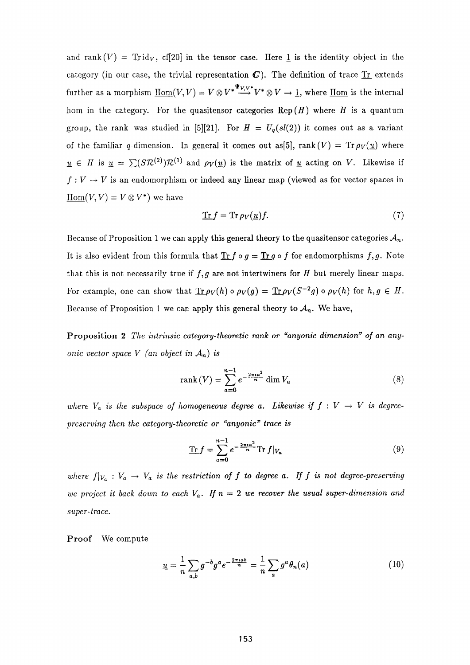and rank  $(V) = Trid_V$ , cf[20] in the tensor case. Here 1 is the identity object in the category (in our case, the trivial representation  $C$ ). The definition of trace  $Tr$  extends</u> further as a morphism  $\underline{\text{Hom}}(V, V) = V \otimes V^* \xrightarrow{\Psi_{V, V^*}} V^* \otimes V \to \underline{1}$ , where  $\underline{\text{Hom}}$  is the internal hom in the category. For the quasitensor categories  $\text{Rep}(H)$  where *H* is a quantum group, the rank was studied in [5][21]. For  $H = U_q(sl(2))$  it comes out as a variant of the familiar q-dimension. In general it comes out as[5], rank(V) =  $Tr \rho_V(u)$  where  $u \in H$  is  $u = \sum (SR^{(2)})\mathcal{R}^{(1)}$  and  $\rho_V(\underline{u})$  is the matrix of <u>u</u> acting on *V*. Likewise if  $f: V \to V$  is an endomorphism or indeed any linear map (viewed as for vector spaces in  $\underline{\mathrm{Hom}}(V, V) = V \otimes V^*$  we have

$$
\mathop{\rm Tr} f = \mathop{\rm Tr} \rho_V(\underline{u}) f. \tag{7}
$$

Because of Proposition 1 we can apply this general theory to the quasitensor categories  $A_n$ . It is also evident from this formula that  $\text{Tr } f \circ g = \text{Tr } g \circ f$  for endomorphisms  $f, g$ . Note that this is not necessarily true if  $f, g$  are not intertwiners for  $H$  but merely linear maps. For example, one can show that  $\text{Tr} \rho_V(h) \circ \rho_V(g) = \text{Tr} \rho_V(S^{-2}g) \circ \rho_V(h)$  for  $h, g \in H$ . Because of Proposition 1 we can apply this general theory to  $A_n$ . We have,

Proposition 2 The intrinsic category-theoretic rank or "anyonic dimension" of an any*onic vector space V (an object in An) is* 

$$
rank(V) = \sum_{a=0}^{n-1} e^{-\frac{2\pi i a^2}{n}} \dim V_a
$$
 (8)

where  $V_a$  is the subspace of homogeneous degree a. Likewise if  $f : V \to V$  is degree*preserving then the category-theoretic or "anyonic" trace is* 

$$
\text{Tr}\,f = \sum_{a=0}^{n-1} e^{-\frac{2\pi i a^2}{n}} \text{Tr}\,f|_{V_a} \tag{9}
$$

where  $f|_{V_a}: V_a \to V_a$  is the restriction of f to degree a. If f is not degree-preserving *we project it back down to each V<sup>a</sup> . If =* 2 *we recover the usual super-dimension and super-trace.* 

Proof We compute

$$
\underline{u} = \frac{1}{n} \sum_{a,b} g^{-b} g^a e^{-\frac{2\pi i ab}{n}} = \frac{1}{n} \sum_a g^a \theta_n(a) \tag{10}
$$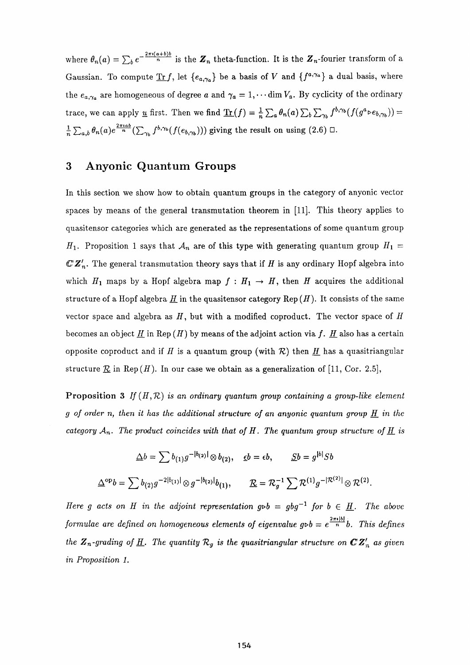where  $\theta_n(a) = \sum_b e^{-\frac{2\pi i (a+b)b}{n}}$  is the  $\mathbf{Z}_n$  theta-function. It is the  $\mathbf{Z}_n$ -fourier transform of a Gaussian. To compute  $\text{Tr } f$ , let  $\{e_{a,\gamma_a}\}$  be a basis of V and  $\{f^{a,\gamma_a}\}$  a dual basis, where the  $e_{a,\gamma_a}$  are homogeneous of degree a and  $\gamma_a = 1, \cdots$  dim  $V_a$ . By cyclicity of the ordinary trace, we can apply <u>u</u> first. Then we find  $\underline{\text{Tr}}(f) = \frac{1}{n} \sum_a \theta_n(a) \sum_b \sum_{\gamma_b} f^{b,\gamma_b}(f(g^a \triangleright e_{b,\gamma_b})) =$  $\frac{1}{n}\sum_{a,b}\theta_n(a)e^{\frac{2\pi i a b}{n}}(\sum_{\gamma}f^{b,\gamma_b}(f(e_{b,\gamma_b})))$  giving the result on using (2.6)  $\Box$ .

## **3 Anyonic Quantum Groups**

In this section we show how to obtain quantum groups in the category of anyonic vector spaces by means of the general transmutation theorem in [11]. This theory applies to quasitensor categories which are generated as the representations of some quantum group  $H_1$ . Proposition 1 says that  $A_n$  are of this type with generating quantum group  $H_1 =$  $\mathbb{CZ}'_n$ . The general transmutation theory says that if H is any ordinary Hopf algebra into which  $H_1$  maps by a Hopf algebra map  $f : H_1 \to H$ , then H acquires the additional structure of a Hopf algebra  $H$  in the quasitensor category Rep  $(H)$ . It consists of the same vector space and algebra as *H<sup>y</sup>* but with a modified coproduct. The vector space of *Η*  becomes an object  $H$  in Rep  $(H)$  by means of the adjoint action via f.  $H$  also has a certain opposite coproduct and if H is a quantum group (with  $\mathcal R$ ) then H has a quasitriangular structure  $\mathcal R$  in Rep  $(H)$ . In our case we obtain as a generalization of [11, Cor. 2.5],

Proposition 3 If  $(H,\mathcal{R})$  is an ordinary quantum group containing a group-like element *g* of order n, then it has the additional structure of an anyonic quantum group  $\underline{H}$  in the *category*  $A_n$ . The product coincides with that of  $H$ . The quantum group structure of  $\underline{H}$  is

$$
\Delta b = \sum b_{(1)} g^{-|b_{(2)}|} \otimes b_{(2)}, \quad \underline{\epsilon} b = \epsilon b, \qquad \underline{S} b = g^{|b|} S b
$$

$$
\Delta^{op} b = \sum b_{(2)} g^{-2|b_{(1)}|} \otimes g^{-|b_{(2)}|} b_{(1)}, \qquad \underline{\mathcal{R}} = \mathcal{R}_g^{-1} \sum \mathcal{R}^{(1)} g^{-|\mathcal{R}^{(2)}|} \otimes \mathcal{R}^{(2)}.
$$

*Here g acts* on *H* in the adjoint representation  $g \triangleright b = gbg^{-1}$  for  $b \in \underline{H}$ . The above *formulae are defined on homogeneous elements of eigenvalue*  $g \triangleright b = e^{\frac{2\pi i |b|}{n}}b$ *. This defines the*  $\mathbf{Z}_n$ -grading of  $\underline{H}$ . The quantity  $\mathcal{R}_g$  is the quasitriangular structure on  $\mathbb{C} \mathbf{Z}_n^{\prime}$  as given *in Proposition 1.*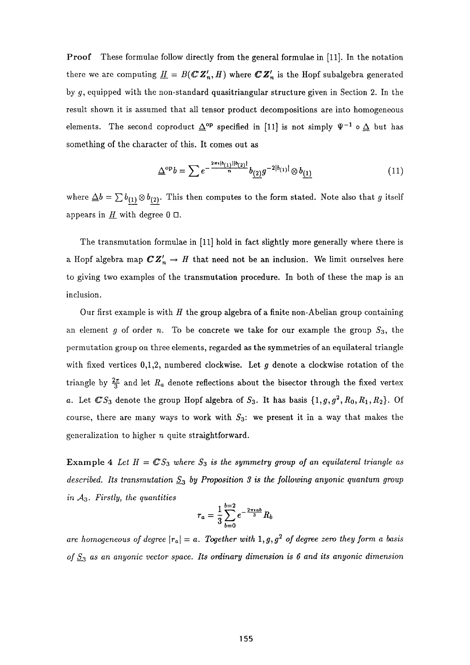Proof These formulae follow directly from the general formulae in [11]. In the notation there we are computing  $\underline{H} = B(\mathbb{C} \mathbb{Z}_n', H)$  where  $\mathbb{C} \mathbb{Z}_n'$  is the Hopf subalgebra generated by  $g$ , equipped with the non-standard quasitriangular structure given in Section 2. In the result shown it is assumed that all tensor product decompositions are into homogeneous elements. The second coproduct  $\Delta^{\mathrm{op}}$  specified in [11] is not simply  $\Psi^{-1} \circ \Delta$  but has something of the character of this. It comes out as

$$
\Delta^{\rm op} b = \sum e^{-\frac{2\pi i |b_{(1)}||b_{(2)}|}{n}} b_{(2)} g^{-2|b_{(1)}|} \otimes b_{(1)} \tag{11}
$$

where  $\Delta b = \sum b_{(1)} \otimes b_{(2)}$ . This then computes to the form stated. Note also that *g* itself appears in  $H$  with degree  $0 \Box$ .

The transmutation formulae in [11] hold in fact slightly more generally where there is a Hopf algebra map  $\mathbb{C} Z'_n \to H$  that need not be an inclusion. We limit ourselves here to giving two examples of the transmutation procedure. In both of these the map is an inclusion.

Our first example is with *H* the group algebra of a finite non-Abelian group containing an element *g* of order *n*. To be concrete we take for our example the group  $S_3$ , the permutation group on three elements, regarded as the symmetries of an equilateral triangle with fixed vertices 0,1,2, numbered clockwise. Let *g* denote a clockwise rotation of the triangle by  $\frac{2\pi}{3}$  and let  $R_a$  denote reflections about the bisector through the fixed vertex *a*. Let  $\mathbb{C}S_3$  denote the group Hopf algebra of  $S_3$ . It has basis  $\{1,g,g^2,R_0,R_1,R_2\}$ . Of course, there are many ways to work with  $S_3$ : we present it in a way that makes the generalization to higher  $n$  quite straightforward.

Example 4 Let  $H = \mathbb{C}S_3$  where  $S_3$  is the symmetry group of an equilateral triangle as *described. Its transmutation*  $S_3$  *by Proposition* 3 *is the following anyonic quantum group in A3. Firstly, the quantities* 

$$
r_a = \frac{1}{3} \sum_{b=0}^{b=2} e^{-\frac{2\pi i ab}{3}} R_b
$$

*are homogeneous of degree*  $|r_a| = a$ . Together with 1,g, g<sup>2</sup> of degree zero they form a basis *of* **5 3** *as an anyonic vector space. Its ordinary dimension is 6 and its anyonic dimension*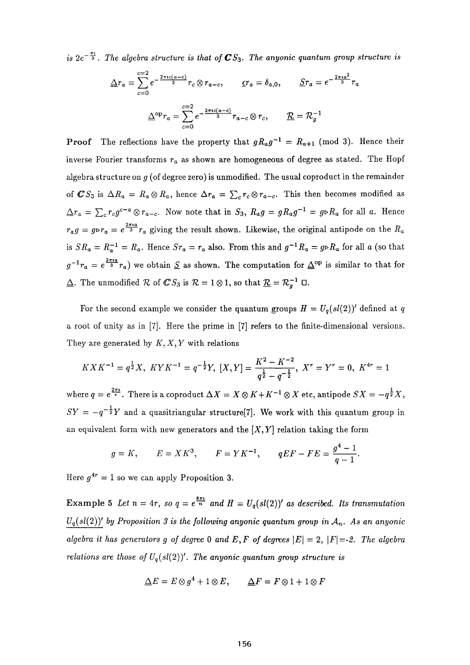*is*  $2e^{-\frac{\pi i}{3}}$ . The algebra structure is that of  $\mathbb{C}S_3$ . The anyonic quantum group structure is

$$
\underline{\Delta}r_a = \sum_{c=0}^{c=2} e^{-\frac{2\pi ic(a-c)}{3}} r_c \otimes r_{a-c}, \qquad \underline{\epsilon}r_a = \delta_{a,0}, \qquad \underline{S}r_a = e^{-\frac{2\pi i a^2}{3}} r_a
$$

$$
\underline{\Delta}^{\text{op}}r_a = \sum_{c=0}^{c=2} e^{-\frac{2\pi ic(a-c)}{3}} r_{a-c} \otimes r_c, \qquad \underline{\mathcal{R}} = \mathcal{R}_g^{-1}
$$

Proo f The reflections have the property that *gRag"<sup>1</sup> = Ra+ι* (mod 3). Hence their inverse fourier transforms  $r_a$  as shown are homogeneous of degree as stated. The Hopfe algebra structure on *g* (of degree zero) is unmodified. The usual coproduct in the remainder  $\sum_{i} c_i c_i$  is  $\sum_{i} c_i c_i$  and  $\sum_{i} c_i c_i$  and  $\sum_{i} c_i c_i$  and  $\sum_{i} c_i c_i$  and  $\sum_{i} c_i c_i$  $\overline{A}$   $\overline{A}$   $\overline{C}$   $\overline{C}$   $\overline{C}$   $\overline{C}$   $\overline{C}$   $\overline{C}$   $\overline{C}$   $\overline{C}$   $\overline{C}$   $\overline{C}$   $\overline{C}$   $\overline{C}$   $\overline{C}$   $\overline{C}$   $\overline{C}$   $\overline{C}$   $\overline{C}$   $\overline{C}$   $\overline{C}$   $\overline{C}$   $\overline{C}$   $\overline{C}$   $\overline{$  $r_a$   $g \rightarrow r_a$   $\sim$   $r_a$   $g \rightarrow r_a$  of respectively. Likewise, the original antipode on the state  $\frac{1}{2}$   $\frac{1}{2}$   $\frac{1}{2}$   $\frac{1}{2}$   $\frac{1}{2}$   $\frac{1}{2}$   $\frac{1}{2}$   $\frac{1}{2}$   $\frac{1}{2}$   $\frac{1}{2}$   $\frac{1}{2}$   $\frac{1}{2}$   $\frac{1}{2}$   $\frac{1}{2}$   $\frac{1}{2}$   $\frac{1}{2}$   $\frac{1}{2}$   $\frac{1}{2}$   $\frac{1}{2}$   $\frac{1}{2}$   $\frac{1}{2}$   $\frac{1}{2}$   $g^2 + a = e^a + a$  we obtain  $\frac{b}{2}$  as shown. The computation for  $\frac{b}{2}$  is similar to that for **1.** The unmodified *TD* of  $\Phi$  by  $\Phi$  *N* = 1  $\circ$  1, so that  $\frac{R}{L}$  =  $n_{g}$  =  $\circ$ 

For the second example we consider the quantum groups  $H = U_q(sl(2))'$  defined at q a root of unity as in [7]. Here the prime in [7] refers to the finite-dimensional versions. They are generated by *Κ,* X, *Y* with relations

$$
K X K^{-1} = q^{\frac{1}{2}} X, \ K Y K^{-1} = q^{-\frac{1}{2}} Y, \ [X, Y] = \frac{K^2 - K^{-2}}{q^{\frac{1}{2}} - q^{-\frac{1}{2}}}, \ X^r = Y^r = 0, \ K^{4r} = 1
$$

where *q* = e 2 ? 1 . There is a coproduct *AX* = X ® if*+K~ <sup>X</sup>* ® X etc, antipode = —ça ,  $SY = -q^{-\frac{1}{2}}Y$  and a quasitriangular structure<sup>[7]</sup>. We work with this quantum group in an equivalent form with new generators and the  $[X, Y]$  relation taking the form

$$
g = K
$$
,  $E = X K^3$ ,  $F = Y K^{-1}$ ,  $qE F - F E = \frac{g^4 - 1}{q - 1}$ .

 $\mu$  = 1 so we can apply 1 reposition 3.

Example 5 Let  $n = 4r$ , so  $q = e^{\frac{8\pi i}{n}}$  and  $H = U_q(sl(2))'$  as described. Its transmutation  $U_q(sl(2))'$  by Proposition 3 is the following anyonic quantum group in  $A_n$ . As an anyonic *algebra it has generators g of degree* 0 *and*  $E, F$  *of degrees*  $|E| = 2$ ,  $|F| = -2$ . The algebra *relations are those of Uq(sl(2))<sup>1</sup> . The anyonic quantum group structure is* 

$$
\Delta E = E \otimes g^4 + 1 \otimes E, \qquad \Delta F = F \otimes 1 + 1 \otimes F
$$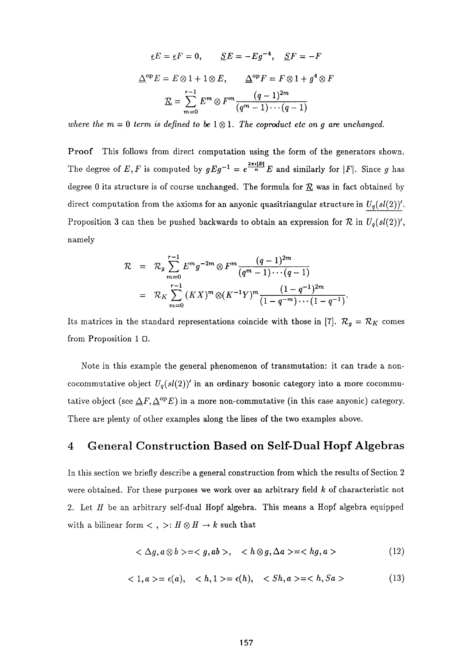$$
\underline{\epsilon}E = \underline{\epsilon}F = 0, \qquad \underline{S}E = -Eg^{-4}, \quad \underline{S}F = -F
$$

$$
\underline{\Delta}^{\text{op}}E = E \otimes 1 + 1 \otimes E, \qquad \underline{\Delta}^{\text{op}}F = F \otimes 1 + g^{4} \otimes F
$$

$$
\underline{\mathcal{R}} = \sum_{m=0}^{r-1} E^{m} \otimes F^{m} \frac{(q-1)^{2m}}{(q^{m}-1)\cdots(q-1)}
$$

*where the*  $m = 0$  *term is defined to be*  $1 \otimes 1$ *. The coproduct etc on g are unchanged.* 

Proof This follows from direct computation using the form of the generators shown. The degree of E, F is computed by  $gEg^{-1} = e^{-\frac{1}{H}}E$  and similarly for  $|F|$ . Since g has degree 0 its structure is of course unchanged. The formula for  $\underline{\mathcal{R}}$  was in fact obtained by direct computation from the axioms for an anyonic quasitriangular structure in  $U_q(sl(2))'$ . Proposition 3 can then be pushed backwards to obtain an expression for  $\mathcal R$  in  $U_q(sl(2))'$ , namely

$$
\mathcal{R} = \mathcal{R}_g \sum_{m=0}^{r-1} E^m g^{-2m} \otimes F^m \frac{(q-1)^{2m}}{(q^m-1)\cdots(q-1)}
$$
  
=  $\mathcal{R}_K \sum_{m=0}^{r-1} (K X)^m \otimes (K^{-1} Y)^m \frac{(1-q^{-1})^{2m}}{(1-q^{-m})\cdots(1-q^{-1})}$ 

Its matrices in the standard representations coincide with those in [7].  $\mathcal{R}_g = \mathcal{R}_K$  comes from Proposition 1 $\Box$ .

Note in this example the general phenomenon of transmutation: it can trade a noncocommutative object  $U_q(sl(2))'$  in an ordinary bosonic category into a more cocommutative object (see  $\Delta F$ ,  $\Delta^{\rm op}E$ ) in a more non-commutative (in this case anyonic) category. There are plenty of other examples along the lines of the two examples above.

#### **4 General Construction Based on Self-Dual Hopf Algebras**

In this section we briefly describe a general construction from which the results of Section 2 were obtained. For these purposes we work over an arbitrary field *k* of characteristic not 2. Let *H* be an arbitrary self-dual Hopf algebra. This means a Hopf algebra equipped with a bilinear form  $\lt$ ,  $\gt$ :  $H \otimes H \to k$  such that

$$
\langle \Delta g, a \otimes b \rangle = \langle g, ab \rangle, \quad \langle h \otimes g, \Delta a \rangle = \langle hg, a \rangle \tag{12}
$$

$$
\langle 1, a \rangle = \epsilon(a), \quad \langle h, 1 \rangle = \epsilon(h), \quad \langle Sh, a \rangle = \langle h, Sa \rangle \tag{13}
$$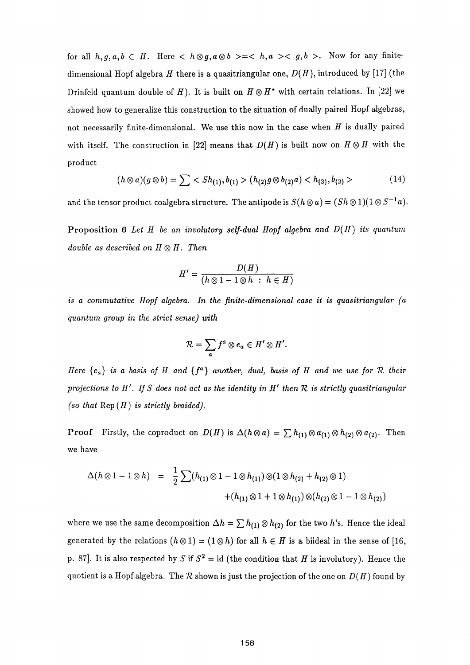for all  $h, g, a, b \in H$ . Here  $\langle h \otimes g, a \otimes b \rangle = \langle h, a \rangle \langle g, b \rangle$ . Now for any finitedimensional Hopf algebra *H* there is a quasitriangular one, *D{H),* introduced by [17] (the Drinfeld quantum double of *H*). It is built on  $H \otimes H^*$  with certain relations. In [22] we showed how to generalize this construction to the situation of dually paired Hopf algebras, not necessarily finite-dimensional. We use this now in the case when *H* is dually paired with itself. The construction in [22] means that  $D(H)$  is built now on  $H \otimes H$  with the product

$$
(h \otimes a)(g \otimes b) = \sum \langle Sh_{(1)}, b_{(1)} \rangle (h_{(2)}g \otimes b_{(2)}a) \langle h_{(3)}, b_{(3)} \rangle \qquad (14)
$$

and the tensor product coalgebra structure. The antipode is  $S(n \otimes a) = (Sn \otimes 1)(T \otimes S - a)$ .

Proposition 6 Let *H* be an involutory self-dual Hopf algebra and  $D(H)$  its quantum *double as described on*  $H \otimes H$ . Then

$$
H' = \frac{D(H)}{(h \otimes 1 - 1 \otimes h : h \in H)}
$$

*is a commutative Hopf algebra. In the finite-dimensional case it is quasitriangular (a quantum group in the strict sense) with* 

$$
\mathcal{R}=\sum_{a}f^{a}\otimes e_{a}\in H'\otimes H'.
$$

*Here {ea} is a basis of and {f<sup>a</sup> } another, dual, basis of and we use for 1Z their projections to H'. If S does not act as the identity in H<sup>f</sup> then TZ is strictly quasitriangular (so that*  $\text{Rep}(H)$  *is strictly braided).* 

**Proof** Firstly, the coproduct on  $D(H)$  is  $\Delta(h \otimes a) = \sum h_{(1)} \otimes a_{(1)} \otimes h_{(2)} \otimes a_{(2)}$ . Then we have

$$
\Delta(h \otimes 1 - 1 \otimes h) = \frac{1}{2} \sum (h_{(1)} \otimes 1 - 1 \otimes h_{(1)}) \otimes (1 \otimes h_{(2)} + h_{(2)} \otimes 1) + (h_{(1)} \otimes 1 + 1 \otimes h_{(1)}) \otimes (h_{(2)} \otimes 1 - 1 \otimes h_{(2)})
$$

where we use the same decomposition  $\Delta h = \sum h_{(1)} \otimes h_{(2)}$  for the two h's. Hence the ideal generated by the relations  $(h \otimes 1) = (1 \otimes h)$  for all  $h \in H$  is a biideal in the sense of [16, p. 87. It is also respected by *S* if  $S^2 = id$  (the condition that *H* is involutory). Hence the quotient is a Hopf algebra. The  $\mathcal R$  shown is just the projection of the one on  $D(H)$  found by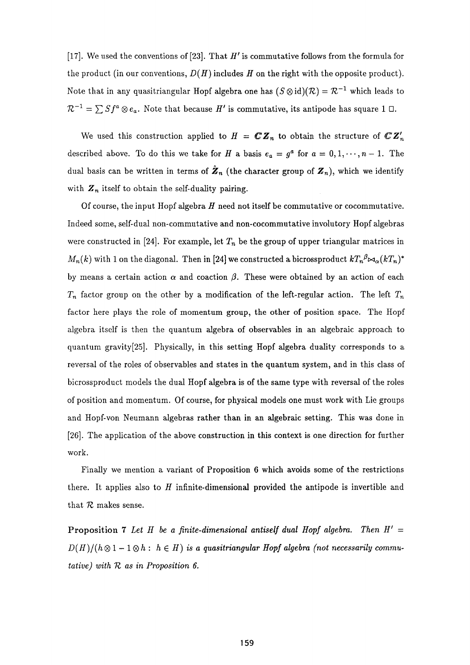[17]. We used the conventions of [23]. That *H<sup>r</sup>* is commutative follows from the formula for the product (in our conventions,  $D(H)$  includes  $H$  on the right with the opposite product). Note that in any quasitriangular Hopf algebra one has  $(S \otimes \mathrm{id})(\mathcal{R}) = \mathcal{R}^{-1}$  which leads to  $\mathcal{R}^{-1} = \sum S f^a \otimes e_a$ . Note that because *H'* is commutative, its antipode has square 1  $\Box$ .

We used this construction applied to  $H = \mathbb{C} \mathbb{Z}_n$  to obtain the structure of  $\mathbb{C} \mathbb{Z}_n'$ described above. To do this we take for *H* a basis  $e_a = g^a$  for  $a = 0, 1, \dots, n-1$ . The dual basis can be written in terms of  $\mathbf{Z}_n$  (the character group of  $\mathbf{Z}_n$ ), which we identify with  $Z_n$  itself to obtain the self-duality pairing.

Of course, the input Hopf algebra  $H$  need not itself be commutative or cocommutative. Indeed some, self-dual non-commutative and non-cocommutative involutory Hopf algebras were constructed in [24]. For example, let  $T_n$  be the group of upper triangular matrices in *M<sub>n</sub>*(*k*) with 1 on the diagonal. Then in [24] we constructed a bicrossproduct  $kT_n{}^{\beta} \bowtie_{\alpha} (kT_n)^*$ by means a certain action  $\alpha$  and coaction  $\beta$ . These were obtained by an action of each  $T_n$  factor group on the other by a modification of the left-regular action. The left  $T_n$ factor here plays the role of momentum group, the other of position space. The Hopf algebra itself is then the quantum algebra of observables in an algebraic approach to quantum gravity[25]. Physically, in this setting Hopf algebra duality corresponds to a reversal of the roles of observables and states in the quantum system, and in this class of bicrossproduct models the dual Hopf algebra is of the same type with reversal of the roles of position and momentum. Of course, for physical models one must work with Lie groups and Hopf-von Neumann algebras rather than in an algebraic setting. This was done in [26]. The application of the above construction in this context is one direction for further work.

Finally we mention a variant of Proposition 6 which avoids some of the restrictions there. It applies also to  $H$  infinite-dimensional provided the antipode is invertible and that  $R$  makes sense.

Proposition 7 Let  $H$  be a finite-dimensional antiself dual Hopf algebra. Then  $H' =$  $D(H)/(h\otimes 1-1\otimes h: h\in H)$  *is a quasitriangular Hopf algebra (not necessarily commutative) with TZ as in Proposition 6.*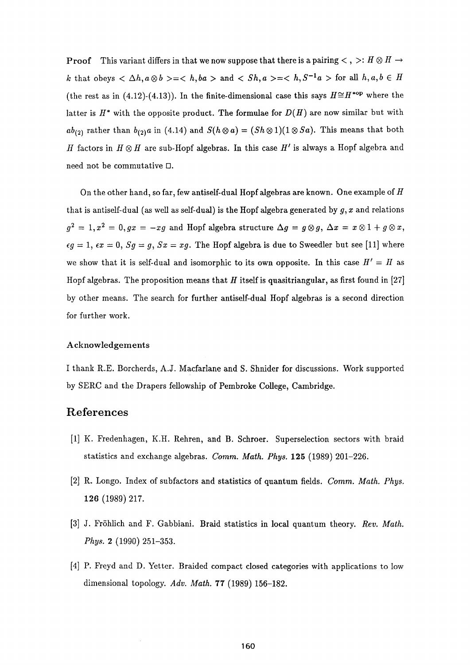**Proof** This variant differs in that we now suppose that there is a pairing  $\lt$ ,  $\gt$ :  $H \otimes H \to$ *k* that obeys  $\langle \Delta h, a \otimes b \rangle = \langle h, ba \rangle$  and  $\langle Sh, a \rangle = \langle h, S^{-1}a \rangle$  for all  $h, a, b \in H$ (the rest as in (4.12)-(4.13)). In the finite-dimensional case this says  $H \cong H^{*op}$  where the latter is  $H^*$  with the opposite product. The formulae for  $D(H)$  are now similar but with  $ab_{(2)}$  rather than  $b_{(2)}a$  in (4.14) and  $S(h\otimes a)=(Sh\otimes 1)(1\otimes Sa)$ . This means that both factors in  $H\otimes H$  are sub-Hopf algebras. In this case  $H'$  is always a Hopf algebra and need not be commutative  $\square$ .

On the other hand, so far, few antiself-dual Hopf algebras are known. One example of *Η*  that is antiself-dual (as well as self-dual) is the Hopf algebra generated by  $g, x$  and relations  $g^2 = 1, x^2 = 0, gx = -xg$  and Hopf algebra structure  $\Delta g = g \otimes g, \, \Delta x = x \otimes 1 + g \otimes x,$  $\epsilon g = 1$ ,  $\epsilon x = 0$ ,  $Sg = g$ ,  $Sx = xg$ . The Hopf algebra is due to Sweedler but see [11] where we show that it is self-dual and isomorphic to its own opposite. In this case  $H' = H$  as Hopf algebras. The proposition means that *H* itself is quasitriangular, as first found in [27] by other means. The search for further antiself-dual Hopf algebras is a second direction for further work.

#### Acknowledgements

I thank R.E. Borcherds, A.J. Macfarlane and S. Shnider for discussions. Work supported by SERC and the Drapers fellowship of Pembroke College, Cambridge.

## **References**

- [1] K. Fredenhagen, K.H. Rehren, and B. Schroer. Superselection sectors with braid statistics and exchange algebras. *Comm. Math. Phys.* **125** (1989) 201-226.
- [2] R. Longo. Index of subfactors and statistics of quantum fields. *Comm. Math. Phys.*  **126** (1989) 217.
- [3] J. Fröhlich and F. Gabbiani. Braid statistics in local quantum theory. *Rev. Math. Phys.* **2** (1990) 251-353.
- [4] P. Freyd and D. Yetter. Braided compact closed categories with applications to low dimensional topology. Adv. Math. 77 (1989) 156-182.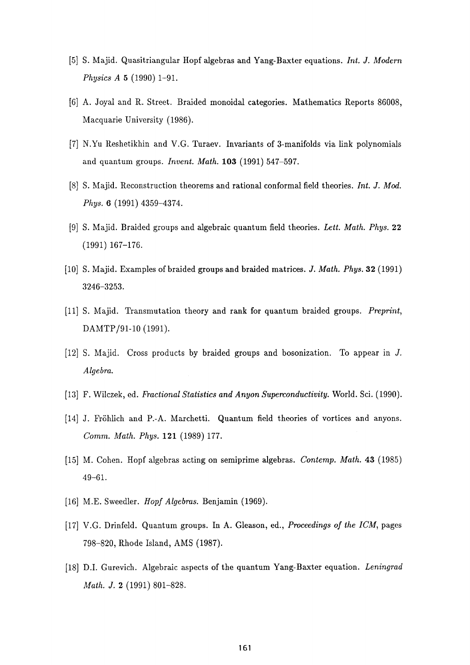- [5] S. Majid. Quasitriangular Hopf algebras and Yang-Baxter equations. *Int. J. Modern Physics A* **5** (1990) 1-91.
- [6] A. Joyal and R. Street. Braided monoidal categories. Mathematics Reports 86008, Macquarie University (1986).
- [7] N.Yu Reshetikhin and V.G. Turaev. Invariants of 3-manifolds via link polynomials and quantum groups. *Invent. Math.* **103** (1991) 547-597.
- [8] S. Majid. Reconstruction theorems and rational conformal field theories. *Int. J. Mod. Phys.* 6 (1991) 4359-4374.
- [9] S. Majid. Braided groups and algebraic quantum field theories. *Lett. Math. Phys.* **22**  (1991) 167-176.
- [10] S. Majid. Examples of braided groups and braided matrices. *J. Math. Phys.* 32 (1991) 3246-3253.
- [11] S. Majid. Transmutation theory and rank for quantum braided groups. *Preprint,*  DAMTP/91-10 (1991).
- [12] S. Majid. Cross products by braided groups and bosonization. To appear in *J. Algebra.*
- [13] F. Wilczek, ed. *Fractional Statistics and Anyon Superconductivity.* World. Sci. (1990).
- [14] J. Fröhlich and P.-A. Marchetti. Quantum field theories of vortices and anyons. *Comm. Math. Phys.* **121** (1989) 177.
- [15] M. Cohen. Hopf algebras acting on semiprime algebras. *Contemp. Math.* **43** (1985) 49-61.
- [16] M.E. Sweedler. *Hopf Algebras.* Benjamin (1969).
- [17] V.G. Drinfeld. Quantum groups. In A. Gleason, ed., *Proceedings of the ICM,* pages 798-820, Rhode Island, AMS (1987).
- [18] D.I. Gurevich. Algebraic aspects of the quantum Yang-Baxter equation. *Leningrad Math. J.* **2** (1991) 801-828.